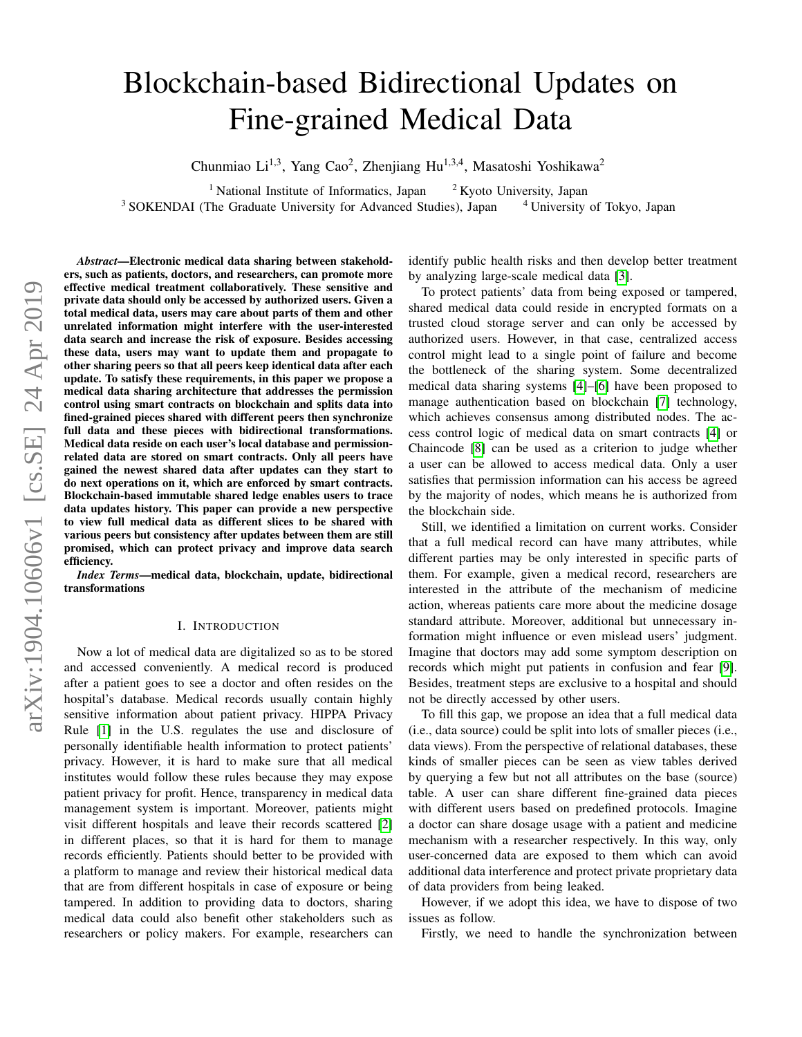# Blockchain-based Bidirectional Updates on Fine-grained Medical Data

Chunmiao Li<sup>1,3</sup>, Yang Cao<sup>2</sup>, Zhenjiang Hu<sup>1,3,4</sup>, Masatoshi Yoshikawa<sup>2</sup>

<sup>1</sup> National Institute of Informatics, Japan  $2$  Kyoto University, Japan

<sup>3</sup> SOKENDAI (The Graduate University for Advanced Studies), Japan <sup>4</sup> University of Tokyo, Japan

*Abstract*—Electronic medical data sharing between stakeholders, such as patients, doctors, and researchers, can promote more effective medical treatment collaboratively. These sensitive and private data should only be accessed by authorized users. Given a total medical data, users may care about parts of them and other unrelated information might interfere with the user-interested data search and increase the risk of exposure. Besides accessing these data, users may want to update them and propagate to other sharing peers so that all peers keep identical data after each update. To satisfy these requirements, in this paper we propose a medical data sharing architecture that addresses the permission control using smart contracts on blockchain and splits data into fined-grained pieces shared with different peers then synchronize full data and these pieces with bidirectional transformations. Medical data reside on each user's local database and permissionrelated data are stored on smart contracts. Only all peers have gained the newest shared data after updates can they start to do next operations on it, which are enforced by smart contracts. Blockchain-based immutable shared ledge enables users to trace data updates history. This paper can provide a new perspective to view full medical data as different slices to be shared with various peers but consistency after updates between them are still promised, which can protect privacy and improve data search efficiency.

*Index Terms*—medical data, blockchain, update, bidirectional transformations

## I. INTRODUCTION

Now a lot of medical data are digitalized so as to be stored and accessed conveniently. A medical record is produced after a patient goes to see a doctor and often resides on the hospital's database. Medical records usually contain highly sensitive information about patient privacy. HIPPA Privacy Rule [\[1\]](#page-5-0) in the U.S. regulates the use and disclosure of personally identifiable health information to protect patients' privacy. However, it is hard to make sure that all medical institutes would follow these rules because they may expose patient privacy for profit. Hence, transparency in medical data management system is important. Moreover, patients might visit different hospitals and leave their records scattered [\[2\]](#page-5-1) in different places, so that it is hard for them to manage records efficiently. Patients should better to be provided with a platform to manage and review their historical medical data that are from different hospitals in case of exposure or being tampered. In addition to providing data to doctors, sharing medical data could also benefit other stakeholders such as researchers or policy makers. For example, researchers can

identify public health risks and then develop better treatment by analyzing large-scale medical data [\[3\]](#page-5-2).

To protect patients' data from being exposed or tampered, shared medical data could reside in encrypted formats on a trusted cloud storage server and can only be accessed by authorized users. However, in that case, centralized access control might lead to a single point of failure and become the bottleneck of the sharing system. Some decentralized medical data sharing systems [\[4\]](#page-5-3)–[\[6\]](#page-5-4) have been proposed to manage authentication based on blockchain [\[7\]](#page-5-5) technology, which achieves consensus among distributed nodes. The access control logic of medical data on smart contracts [\[4\]](#page-5-3) or Chaincode [\[8\]](#page-5-6) can be used as a criterion to judge whether a user can be allowed to access medical data. Only a user satisfies that permission information can his access be agreed by the majority of nodes, which means he is authorized from the blockchain side.

Still, we identified a limitation on current works. Consider that a full medical record can have many attributes, while different parties may be only interested in specific parts of them. For example, given a medical record, researchers are interested in the attribute of the mechanism of medicine action, whereas patients care more about the medicine dosage standard attribute. Moreover, additional but unnecessary information might influence or even mislead users' judgment. Imagine that doctors may add some symptom description on records which might put patients in confusion and fear [\[9\]](#page-5-7). Besides, treatment steps are exclusive to a hospital and should not be directly accessed by other users.

To fill this gap, we propose an idea that a full medical data (i.e., data source) could be split into lots of smaller pieces (i.e., data views). From the perspective of relational databases, these kinds of smaller pieces can be seen as view tables derived by querying a few but not all attributes on the base (source) table. A user can share different fine-grained data pieces with different users based on predefined protocols. Imagine a doctor can share dosage usage with a patient and medicine mechanism with a researcher respectively. In this way, only user-concerned data are exposed to them which can avoid additional data interference and protect private proprietary data of data providers from being leaked.

However, if we adopt this idea, we have to dispose of two issues as follow.

Firstly, we need to handle the synchronization between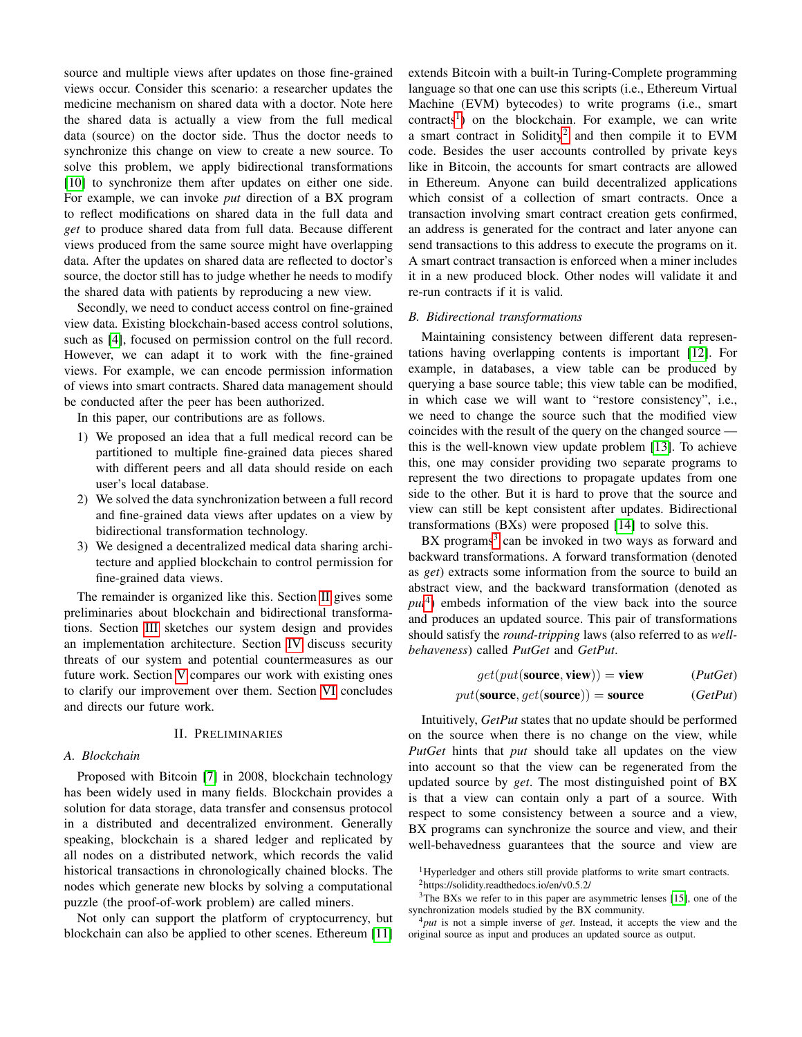source and multiple views after updates on those fine-grained views occur. Consider this scenario: a researcher updates the medicine mechanism on shared data with a doctor. Note here the shared data is actually a view from the full medical data (source) on the doctor side. Thus the doctor needs to synchronize this change on view to create a new source. To solve this problem, we apply bidirectional transformations [\[10\]](#page-5-8) to synchronize them after updates on either one side. For example, we can invoke *put* direction of a BX program to reflect modifications on shared data in the full data and *get* to produce shared data from full data. Because different views produced from the same source might have overlapping data. After the updates on shared data are reflected to doctor's source, the doctor still has to judge whether he needs to modify the shared data with patients by reproducing a new view.

Secondly, we need to conduct access control on fine-grained view data. Existing blockchain-based access control solutions, such as [\[4\]](#page-5-3), focused on permission control on the full record. However, we can adapt it to work with the fine-grained views. For example, we can encode permission information of views into smart contracts. Shared data management should be conducted after the peer has been authorized.

In this paper, our contributions are as follows.

- 1) We proposed an idea that a full medical record can be partitioned to multiple fine-grained data pieces shared with different peers and all data should reside on each user's local database.
- 2) We solved the data synchronization between a full record and fine-grained data views after updates on a view by bidirectional transformation technology.
- 3) We designed a decentralized medical data sharing architecture and applied blockchain to control permission for fine-grained data views.

The remainder is organized like this. Section [II](#page-1-0) gives some preliminaries about blockchain and bidirectional transformations. Section [III](#page-2-0) sketches our system design and provides an implementation architecture. Section [IV](#page-4-0) discuss security threats of our system and potential countermeasures as our future work. Section [V](#page-4-1) compares our work with existing ones to clarify our improvement over them. Section [VI](#page-5-9) concludes and directs our future work.

# II. PRELIMINARIES

## <span id="page-1-0"></span>*A. Blockchain*

Proposed with Bitcoin [\[7\]](#page-5-5) in 2008, blockchain technology has been widely used in many fields. Blockchain provides a solution for data storage, data transfer and consensus protocol in a distributed and decentralized environment. Generally speaking, blockchain is a shared ledger and replicated by all nodes on a distributed network, which records the valid historical transactions in chronologically chained blocks. The nodes which generate new blocks by solving a computational puzzle (the proof-of-work problem) are called miners.

Not only can support the platform of cryptocurrency, but blockchain can also be applied to other scenes. Ethereum [\[11\]](#page-5-10) extends Bitcoin with a built-in Turing-Complete programming language so that one can use this scripts (i.e., Ethereum Virtual Machine (EVM) bytecodes) to write programs (i.e., smart contracts<sup>[1](#page-1-1)</sup>) on the blockchain. For example, we can write a smart contract in Solidity<sup>[2](#page-1-2)</sup> and then compile it to EVM code. Besides the user accounts controlled by private keys like in Bitcoin, the accounts for smart contracts are allowed in Ethereum. Anyone can build decentralized applications which consist of a collection of smart contracts. Once a transaction involving smart contract creation gets confirmed, an address is generated for the contract and later anyone can send transactions to this address to execute the programs on it. A smart contract transaction is enforced when a miner includes it in a new produced block. Other nodes will validate it and re-run contracts if it is valid.

#### *B. Bidirectional transformations*

Maintaining consistency between different data representations having overlapping contents is important [\[12\]](#page-5-11). For example, in databases, a view table can be produced by querying a base source table; this view table can be modified, in which case we will want to "restore consistency", i.e., we need to change the source such that the modified view coincides with the result of the query on the changed source this is the well-known view update problem [\[13\]](#page-5-12). To achieve this, one may consider providing two separate programs to represent the two directions to propagate updates from one side to the other. But it is hard to prove that the source and view can still be kept consistent after updates. Bidirectional transformations (BXs) were proposed [\[14\]](#page-5-13) to solve this.

BX programs<sup>[3](#page-1-3)</sup> can be invoked in two ways as forward and backward transformations. A forward transformation (denoted as *get*) extracts some information from the source to build an abstract view, and the backward transformation (denoted as put<sup>[4](#page-1-4)</sup>) embeds information of the view back into the source and produces an updated source. This pair of transformations should satisfy the *round-tripping* laws (also referred to as *wellbehaveness*) called *PutGet* and *GetPut*.

$$
get(put(\text{source}, \text{view})) = \text{view} \qquad (PutGet)
$$

$$
put(\text{source}, get(\text{source})) = \text{source} \qquad (GetPut)
$$

Intuitively, *GetPut* states that no update should be performed on the source when there is no change on the view, while *PutGet* hints that *put* should take all updates on the view into account so that the view can be regenerated from the updated source by *get*. The most distinguished point of BX is that a view can contain only a part of a source. With respect to some consistency between a source and a view, BX programs can synchronize the source and view, and their well-behavedness guarantees that the source and view are

<span id="page-1-2"></span><span id="page-1-1"></span><sup>&</sup>lt;sup>1</sup>Hyperledger and others still provide platforms to write smart contracts. <sup>2</sup>https://solidity.readthedocs.io/en/v0.5.2/

<span id="page-1-3"></span><sup>&</sup>lt;sup>3</sup>The BXs we refer to in this paper are asymmetric lenses [\[15\]](#page-5-14), one of the synchronization models studied by the BX community.

<span id="page-1-4"></span><sup>4</sup>*put* is not a simple inverse of *get*. Instead, it accepts the view and the original source as input and produces an updated source as output.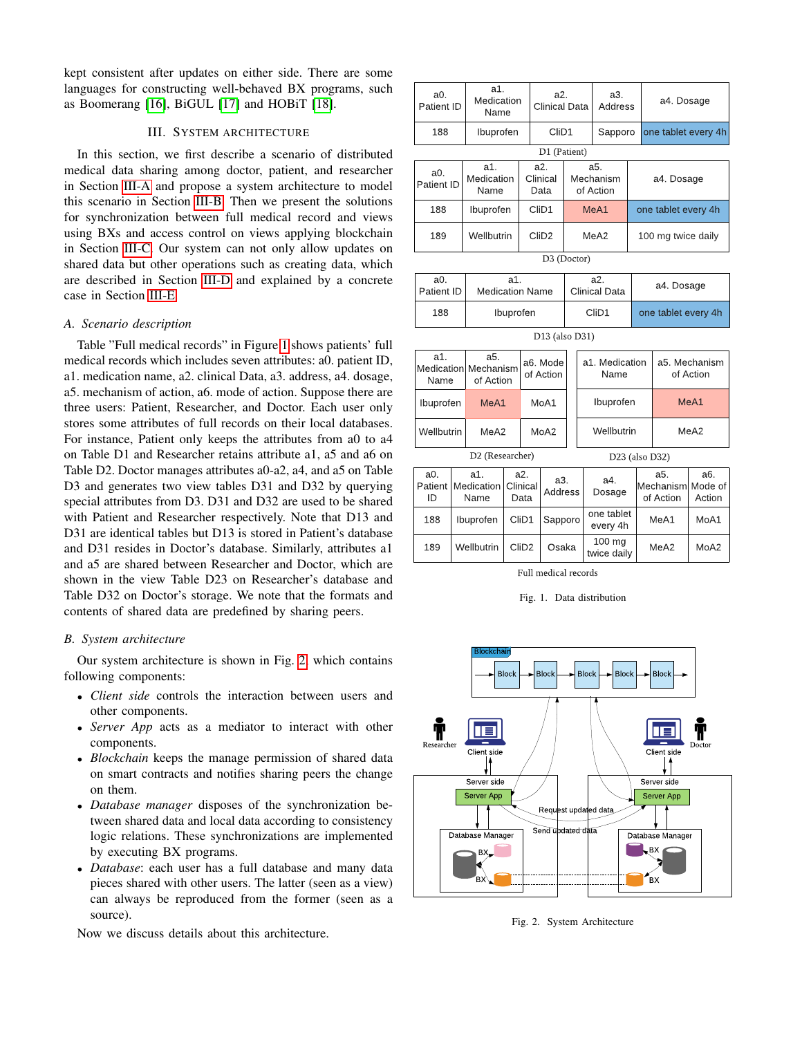kept consistent after updates on either side. There are some languages for constructing well-behaved BX programs, such as Boomerang [\[16\]](#page-5-15), BiGUL [\[17\]](#page-5-16) and HOBiT [\[18\]](#page-5-17).

## III. SYSTEM ARCHITECTURE

<span id="page-2-0"></span>In this section, we first describe a scenario of distributed medical data sharing among doctor, patient, and researcher in Section [III-A](#page-2-1) and propose a system architecture to model this scenario in Section [III-B.](#page-2-2) Then we present the solutions for synchronization between full medical record and views using BXs and access control on views applying blockchain in Section [III-C.](#page-3-0) Our system can not only allow updates on shared data but other operations such as creating data, which are described in Section [III-D](#page-3-1) and explained by a concrete case in Section [III-E.](#page-4-2)

# <span id="page-2-1"></span>*A. Scenario description*

Table "Full medical records" in Figure [1](#page-2-3) shows patients' full medical records which includes seven attributes: a0. patient ID, a1. medication name, a2. clinical Data, a3. address, a4. dosage, a5. mechanism of action, a6. mode of action. Suppose there are three users: Patient, Researcher, and Doctor. Each user only stores some attributes of full records on their local databases. For instance, Patient only keeps the attributes from a0 to a4 on Table D1 and Researcher retains attribute a1, a5 and a6 on Table D2. Doctor manages attributes a0-a2, a4, and a5 on Table D3 and generates two view tables D31 and D32 by querying special attributes from D3. D31 and D32 are used to be shared with Patient and Researcher respectively. Note that D13 and D31 are identical tables but D13 is stored in Patient's database and D31 resides in Doctor's database. Similarly, attributes a1 and a5 are shared between Researcher and Doctor, which are shown in the view Table D23 on Researcher's database and Table D32 on Doctor's storage. We note that the formats and contents of shared data are predefined by sharing peers.

## <span id="page-2-2"></span>*B. System architecture*

Our system architecture is shown in Fig. [2,](#page-2-4) which contains following components:

- *Client side* controls the interaction between users and other components.
- *Server App* acts as a mediator to interact with other components.
- *Blockchain* keeps the manage permission of shared data on smart contracts and notifies sharing peers the change on them.
- *Database manager* disposes of the synchronization between shared data and local data according to consistency logic relations. These synchronizations are implemented by executing BX programs.
- *Database*: each user has a full database and many data pieces shared with other users. The latter (seen as a view) can always be reproduced from the former (seen as a source).

Now we discuss details about this architecture.

|              | a0.<br>Patient ID       | a1.<br>Medication<br>Name                            | a2.<br>Clinical Data |                               | a3.<br>Address |                     | a4. Dosage          |  |
|--------------|-------------------------|------------------------------------------------------|----------------------|-------------------------------|----------------|---------------------|---------------------|--|
|              | 188                     | Ibuprofen                                            |                      | Cli <sub>D1</sub>             |                | Sapporo             | one tablet every 4h |  |
| D1 (Patient) |                         |                                                      |                      |                               |                |                     |                     |  |
|              | a0.<br>Patient ID       | a1.<br>a2.<br>Clinical<br>Medication<br>Name<br>Data |                      | a5.<br>Mechanism<br>of Action |                | a4. Dosage          |                     |  |
|              | 188                     | Ibuprofen                                            | CliD1                | MeA1                          |                | one tablet every 4h |                     |  |
|              | 189                     | Wellbutrin                                           | Cli <sub>D2</sub>    |                               | MeA2           |                     | 100 mg twice daily  |  |
|              | D <sub>3</sub> (Doctor) |                                                      |                      |                               |                |                     |                     |  |

| a0.<br>Patient ID | aт<br><b>Medication Name</b> | а2.<br><b>Clinical Data</b> | a4. Dosage          |  |
|-------------------|------------------------------|-----------------------------|---------------------|--|
| 188               | Ibuprofen                    | Cli <sub>D1</sub>           | one tablet every 4h |  |

D13 (also D31)

| a1.<br>Name                       |            | a5.<br>Medication   Mechanism<br>of Action |  | a6. Mode<br>of Action                     |                  |  | a1. Medication<br>Name |      | a5. Mechanism<br>of Action |                                      |
|-----------------------------------|------------|--------------------------------------------|--|-------------------------------------------|------------------|--|------------------------|------|----------------------------|--------------------------------------|
| Ibuprofen                         |            | MeA1                                       |  | MoA1                                      |                  |  | Ibuprofen              |      | MeA1                       |                                      |
| Wellbutrin                        |            | MeA2                                       |  |                                           | MoA <sub>2</sub> |  | Wellbutrin             |      | MeA2                       |                                      |
| D2 (Researcher)<br>D23 (also D32) |            |                                            |  |                                           |                  |  |                        |      |                            |                                      |
| a0.<br>Patient  <br>ID            |            | a1.<br>Medication<br>Name                  |  | a2.<br>a3.<br>Clinical<br>Address<br>Data |                  |  | a4.<br>Dosage          |      | a5.<br>of Action           | a6.<br> Mechanism  Mode of<br>Action |
| 188                               |            | Ibuprofen                                  |  | CliD1                                     | Sapporo          |  | one tablet<br>every 4h | MeA1 |                            | MoA1                                 |
| 189                               | Wellbutrin |                                            |  | Cli <sub>D2</sub>                         | Osaka            |  | 100 mg<br>twice daily  | MeA2 |                            | MoA2                                 |

Full medical records

<span id="page-2-3"></span>



<span id="page-2-4"></span>Fig. 2. System Architecture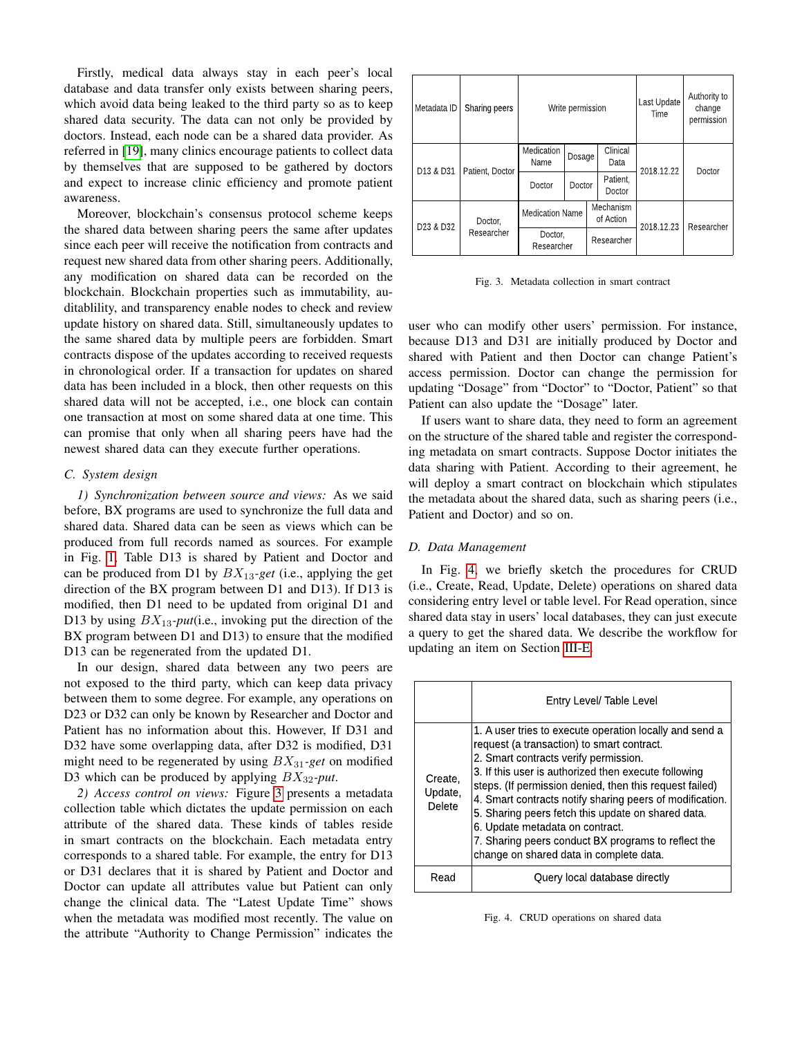Firstly, medical data always stay in each peer's local database and data transfer only exists between sharing peers, which avoid data being leaked to the third party so as to keep shared data security. The data can not only be provided by doctors. Instead, each node can be a shared data provider. As referred in [\[19\]](#page-5-18), many clinics encourage patients to collect data by themselves that are supposed to be gathered by doctors and expect to increase clinic efficiency and promote patient awareness.

Moreover, blockchain's consensus protocol scheme keeps the shared data between sharing peers the same after updates since each peer will receive the notification from contracts and request new shared data from other sharing peers. Additionally, any modification on shared data can be recorded on the blockchain. Blockchain properties such as immutability, auditablility, and transparency enable nodes to check and review update history on shared data. Still, simultaneously updates to the same shared data by multiple peers are forbidden. Smart contracts dispose of the updates according to received requests in chronological order. If a transaction for updates on shared data has been included in a block, then other requests on this shared data will not be accepted, i.e., one block can contain one transaction at most on some shared data at one time. This can promise that only when all sharing peers have had the newest shared data can they execute further operations.

### <span id="page-3-0"></span>*C. System design*

*1) Synchronization between source and views:* As we said before, BX programs are used to synchronize the full data and shared data. Shared data can be seen as views which can be produced from full records named as sources. For example in Fig. [1,](#page-2-3) Table D13 is shared by Patient and Doctor and can be produced from D1 by  $BX_{13}$ -get (i.e., applying the get direction of the BX program between D1 and D13). If D13 is modified, then D1 need to be updated from original D1 and D13 by using BX13*-put*(i.e., invoking put the direction of the BX program between D1 and D13) to ensure that the modified D13 can be regenerated from the updated D1.

In our design, shared data between any two peers are not exposed to the third party, which can keep data privacy between them to some degree. For example, any operations on D23 or D32 can only be known by Researcher and Doctor and Patient has no information about this. However, If D31 and D32 have some overlapping data, after D32 is modified, D31 might need to be regenerated by using  $BX_{31}$ -get on modified D3 which can be produced by applying  $BX_{32}$ -put.

*2) Access control on views:* Figure [3](#page-3-2) presents a metadata collection table which dictates the update permission on each attribute of the shared data. These kinds of tables reside in smart contracts on the blockchain. Each metadata entry corresponds to a shared table. For example, the entry for D13 or D31 declares that it is shared by Patient and Doctor and Doctor can update all attributes value but Patient can only change the clinical data. The "Latest Update Time" shows when the metadata was modified most recently. The value on the attribute "Authority to Change Permission" indicates the

| Metadata ID                       | Sharing peers   | Write permission       |        |                        | Last Update<br>Time | Authority to<br>change<br>permission |            |
|-----------------------------------|-----------------|------------------------|--------|------------------------|---------------------|--------------------------------------|------------|
| D <sub>13</sub> & D <sub>31</sub> | Patient. Doctor | Medication<br>Name     | Dosage |                        | Clinical<br>Data    | 2018.12.22                           | Doctor     |
|                                   |                 | Doctor                 | Doctor |                        | Patient.<br>Doctor  |                                      |            |
| D23 & D32                         | Doctor,         | <b>Medication Name</b> |        | Mechanism<br>of Action |                     | 2018.12.23                           | Researcher |
|                                   | Researcher      | Doctor,<br>Researcher  |        | Researcher             |                     |                                      |            |

<span id="page-3-2"></span>Fig. 3. Metadata collection in smart contract

user who can modify other users' permission. For instance, because D13 and D31 are initially produced by Doctor and shared with Patient and then Doctor can change Patient's access permission. Doctor can change the permission for updating "Dosage" from "Doctor" to "Doctor, Patient" so that Patient can also update the "Dosage" later.

If users want to share data, they need to form an agreement on the structure of the shared table and register the corresponding metadata on smart contracts. Suppose Doctor initiates the data sharing with Patient. According to their agreement, he will deploy a smart contract on blockchain which stipulates the metadata about the shared data, such as sharing peers (i.e., Patient and Doctor) and so on.

#### <span id="page-3-1"></span>*D. Data Management* Send updated data

 $I_{\text{net}}$  In Fig. [4,](#page-3-3) we briefly sketch the procedures for CRUD (i.e., Create, Read, Update, Delete) operations on shared data considering entry level or table level. For Read operation, since shared data stay in users' local databases, they can just execute a query to get the shared data. We describe the workflow for updating an item on Section [III-E.](#page-4-2)

|                                     | Entry Level/ Table Level                                                                                                                                                                                                                                                                                                                                                                                                                                                                                                 |
|-------------------------------------|--------------------------------------------------------------------------------------------------------------------------------------------------------------------------------------------------------------------------------------------------------------------------------------------------------------------------------------------------------------------------------------------------------------------------------------------------------------------------------------------------------------------------|
| Create.<br>Update,<br><b>Delete</b> | 1. A user tries to execute operation locally and send a<br>request (a transaction) to smart contract.<br>2. Smart contracts verify permission.<br>3. If this user is authorized then execute following<br>steps. (If permission denied, then this request failed)<br>4. Smart contracts notify sharing peers of modification.<br>5. Sharing peers fetch this update on shared data.<br>6. Update metadata on contract.<br>7. Sharing peers conduct BX programs to reflect the<br>change on shared data in complete data. |
| Read                                | Ouery local database directly                                                                                                                                                                                                                                                                                                                                                                                                                                                                                            |

<span id="page-3-3"></span>Fig. 4. CRUD operations on shared data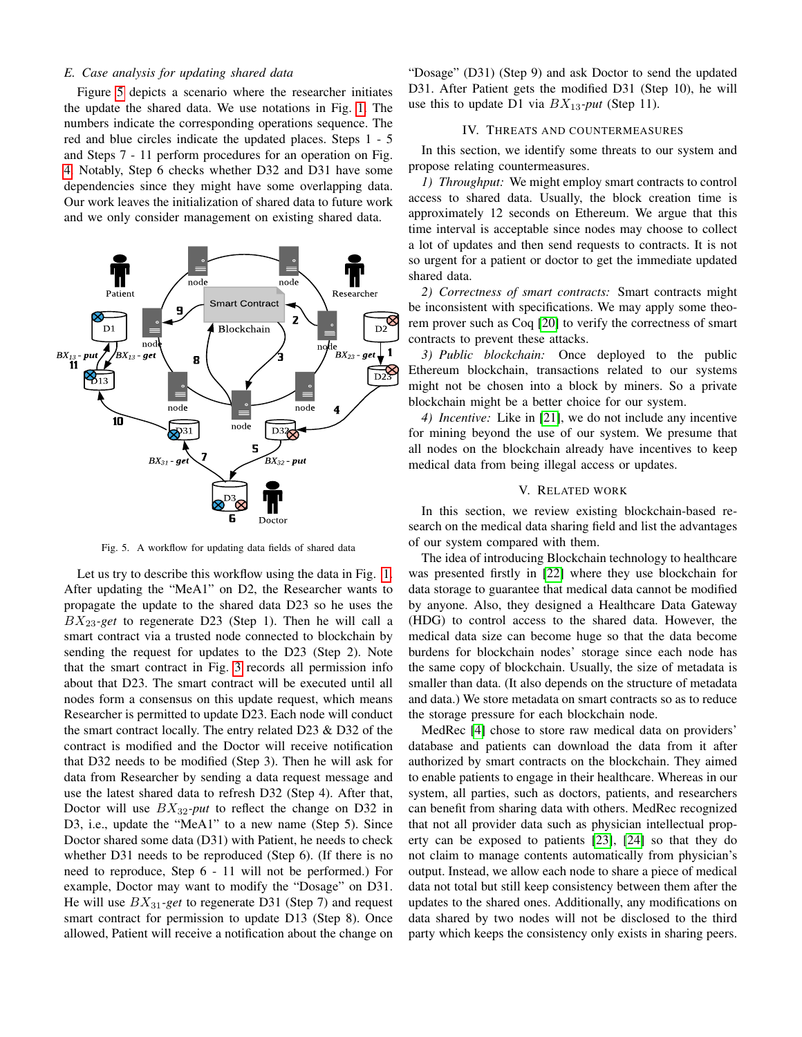## <span id="page-4-2"></span>*E. Case analysis for updating shared data*

Figure [5](#page-4-3) depicts a scenario where the researcher initiates the update the shared data. We use notations in Fig. [1.](#page-2-3) The numbers indicate the corresponding operations sequence. The red and blue circles indicate the updated places. Steps 1 - 5 and Steps 7 - 11 perform procedures for an operation on Fig. [4.](#page-3-3) Notably, Step 6 checks whether D32 and D31 have some dependencies since they might have some overlapping data. Our work leaves the initialization of shared data to future work and we only consider management on existing shared data.



<span id="page-4-3"></span>Fig. 5. A workflow for updating data fields of shared data

Let us try to describe this workflow using the data in Fig. [1.](#page-2-3) After updating the "MeA1" on D2, the Researcher wants to propagate the update to the shared data D23 so he uses the  $BX_{23}$ -get to regenerate D23 (Step 1). Then he will call a smart contract via a trusted node connected to blockchain by sending the request for updates to the D23 (Step 2). Note that the smart contract in Fig. [3](#page-3-2) records all permission info about that D23. The smart contract will be executed until all nodes form a consensus on this update request, which means Researcher is permitted to update D23. Each node will conduct the smart contract locally. The entry related D23 & D32 of the contract is modified and the Doctor will receive notification that D32 needs to be modified (Step 3). Then he will ask for data from Researcher by sending a data request message and use the latest shared data to refresh D32 (Step 4). After that, Doctor will use  $BX_{32}$ -put to reflect the change on D32 in D3, i.e., update the "MeA1" to a new name (Step 5). Since Doctor shared some data (D31) with Patient, he needs to check whether D31 needs to be reproduced (Step 6). (If there is no need to reproduce, Step 6 - 11 will not be performed.) For example, Doctor may want to modify the "Dosage" on D31. He will use BX31*-get* to regenerate D31 (Step 7) and request smart contract for permission to update D13 (Step 8). Once allowed, Patient will receive a notification about the change on "Dosage" (D31) (Step 9) and ask Doctor to send the updated D31. After Patient gets the modified D31 (Step 10), he will use this to update D1 via  $BX_{13}$ -put (Step 11).

# IV. THREATS AND COUNTERMEASURES

<span id="page-4-0"></span>In this section, we identify some threats to our system and propose relating countermeasures.

*1) Throughput:* We might employ smart contracts to control access to shared data. Usually, the block creation time is approximately 12 seconds on Ethereum. We argue that this time interval is acceptable since nodes may choose to collect a lot of updates and then send requests to contracts. It is not so urgent for a patient or doctor to get the immediate updated shared data.

*2) Correctness of smart contracts:* Smart contracts might be inconsistent with specifications. We may apply some theorem prover such as Coq [\[20\]](#page-5-19) to verify the correctness of smart contracts to prevent these attacks.

*3) Public blockchain:* Once deployed to the public Ethereum blockchain, transactions related to our systems might not be chosen into a block by miners. So a private blockchain might be a better choice for our system.

*4) Incentive:* Like in [\[21\]](#page-5-20), we do not include any incentive for mining beyond the use of our system. We presume that all nodes on the blockchain already have incentives to keep medical data from being illegal access or updates.

# V. RELATED WORK

<span id="page-4-1"></span>In this section, we review existing blockchain-based research on the medical data sharing field and list the advantages of our system compared with them.

The idea of introducing Blockchain technology to healthcare was presented firstly in [\[22\]](#page-5-21) where they use blockchain for data storage to guarantee that medical data cannot be modified by anyone. Also, they designed a Healthcare Data Gateway (HDG) to control access to the shared data. However, the medical data size can become huge so that the data become burdens for blockchain nodes' storage since each node has the same copy of blockchain. Usually, the size of metadata is smaller than data. (It also depends on the structure of metadata and data.) We store metadata on smart contracts so as to reduce the storage pressure for each blockchain node.

MedRec [\[4\]](#page-5-3) chose to store raw medical data on providers' database and patients can download the data from it after authorized by smart contracts on the blockchain. They aimed to enable patients to engage in their healthcare. Whereas in our system, all parties, such as doctors, patients, and researchers can benefit from sharing data with others. MedRec recognized that not all provider data such as physician intellectual property can be exposed to patients [\[23\]](#page-5-22), [\[24\]](#page-5-23) so that they do not claim to manage contents automatically from physician's output. Instead, we allow each node to share a piece of medical data not total but still keep consistency between them after the updates to the shared ones. Additionally, any modifications on data shared by two nodes will not be disclosed to the third party which keeps the consistency only exists in sharing peers.